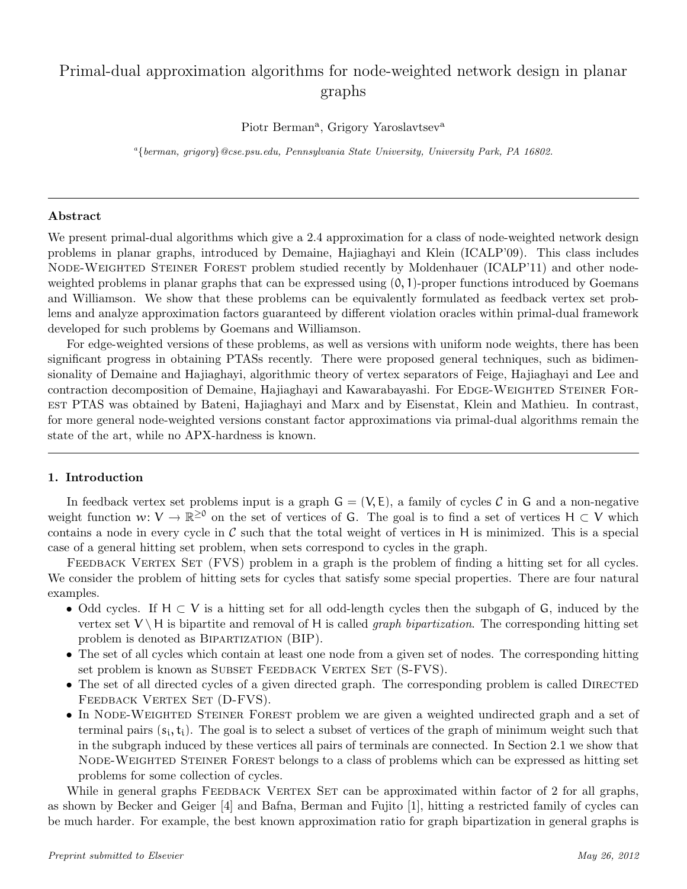# Primal-dual approximation algorithms for node-weighted network design in planar graphs

Piotr Berman<sup>a</sup>, Grigory Yaroslavtsev<sup>a</sup>

<sup>a</sup>{berman, grigory}@cse.psu.edu, Pennsylvania State University, University Park, PA 16802.

### Abstract

We present primal-dual algorithms which give a 2.4 approximation for a class of node-weighted network design problems in planar graphs, introduced by Demaine, Hajiaghayi and Klein (ICALP'09). This class includes NODE-WEIGHTED STEINER FOREST problem studied recently by Moldenhauer (ICALP'11) and other nodeweighted problems in planar graphs that can be expressed using  $(0, 1)$ -proper functions introduced by Goemans and Williamson. We show that these problems can be equivalently formulated as feedback vertex set problems and analyze approximation factors guaranteed by different violation oracles within primal-dual framework developed for such problems by Goemans and Williamson.

For edge-weighted versions of these problems, as well as versions with uniform node weights, there has been significant progress in obtaining PTASs recently. There were proposed general techniques, such as bidimensionality of Demaine and Hajiaghayi, algorithmic theory of vertex separators of Feige, Hajiaghayi and Lee and contraction decomposition of Demaine, Hajiaghayi and Kawarabayashi. For EDGE-WEIGHTED STEINER FORest PTAS was obtained by Bateni, Hajiaghayi and Marx and by Eisenstat, Klein and Mathieu. In contrast, for more general node-weighted versions constant factor approximations via primal-dual algorithms remain the state of the art, while no APX-hardness is known.

## 1. Introduction

In feedback vertex set problems input is a graph  $G = (V, E)$ , a family of cycles C in G and a non-negative weight function  $w: V \to \mathbb{R}^{\geq 0}$  on the set of vertices of G. The goal is to find a set of vertices  $H \subset V$  which contains a node in every cycle in  $\mathcal C$  such that the total weight of vertices in H is minimized. This is a special case of a general hitting set problem, when sets correspond to cycles in the graph.

FEEDBACK VERTEX SET (FVS) problem in a graph is the problem of finding a hitting set for all cycles. We consider the problem of hitting sets for cycles that satisfy some special properties. There are four natural examples.

- Odd cycles. If  $H \subset V$  is a hitting set for all odd-length cycles then the subgaph of G, induced by the vertex set  $V \backslash H$  is bipartite and removal of H is called *graph bipartization*. The corresponding hitting set problem is denoted as Bipartization (BIP).
- The set of all cycles which contain at least one node from a given set of nodes. The corresponding hitting set problem is known as SUBSET FEEDBACK VERTEX SET (S-FVS).
- The set of all directed cycles of a given directed graph. The corresponding problem is called DIRECTED FEEDBACK VERTEX SET (D-FVS).
- In NODE-WEIGHTED STEINER FOREST problem we are given a weighted undirected graph and a set of terminal pairs  $(s_i, t_i)$ . The goal is to select a subset of vertices of the graph of minimum weight such that in the subgraph induced by these vertices all pairs of terminals are connected. In Section 2.1 we show that Node-Weighted Steiner Forest belongs to a class of problems which can be expressed as hitting set problems for some collection of cycles.

While in general graphs FEEDBACK VERTEX SET can be approximated within factor of 2 for all graphs, as shown by Becker and Geiger [4] and Bafna, Berman and Fujito [1], hitting a restricted family of cycles can be much harder. For example, the best known approximation ratio for graph bipartization in general graphs is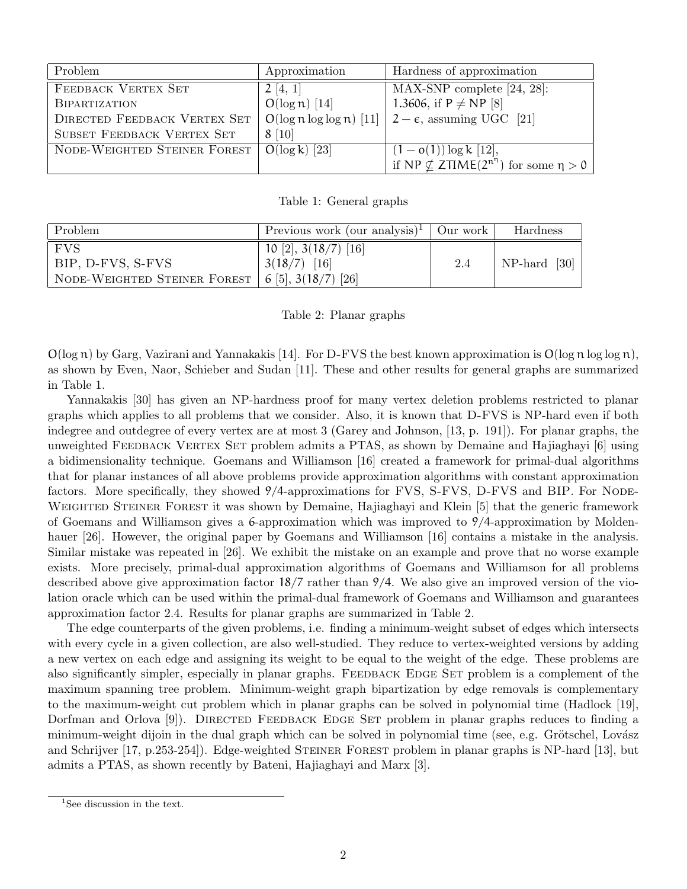| Problem                             | Approximation    | Hardness of approximation                                          |  |
|-------------------------------------|------------------|--------------------------------------------------------------------|--|
| FEEDBACK VERTEX SET                 | 2[4, 1]          | $MAX-SNP$ complete [24, 28]:                                       |  |
| <b>BIPARTIZATION</b>                | $O(\log n)$ [14] | 1.3606, if $P \ne NP$ [8]                                          |  |
| <b>DIRECTED FEEDBACK VERTEX SET</b> |                  | $O(\log n \log \log n)$ [11] $\mid 2-\epsilon$ , assuming UGC [21] |  |
| SUBSET FEEDBACK VERTEX SET          | 8[10]            |                                                                    |  |
| NODE-WEIGHTED STEINER FOREST        | $O(\log k)$ [23] | $(1 - o(1)) \log k$ [12],                                          |  |
|                                     |                  | if NP $\nsubseteq$ ZTIME( $2^{n^{\eta}}$ ) for some $\eta > 0$     |  |

Table 1: General graphs

| Problem                                                                    | Previous work (our analysis) <sup>1</sup>   Our work |     | Hardness     |
|----------------------------------------------------------------------------|------------------------------------------------------|-----|--------------|
| <b>FVS</b>                                                                 | 10 [2], $3(18/7)$ [16]                               |     |              |
| BIP, D-FVS, S-FVS                                                          | $3(18/7)$ [16]                                       | 2.4 | NP-hard [30] |
| NODE-WEIGHTED STEINER FOREST $  6 \overline{5}  , 3(18/7) \overline{26}  $ |                                                      |     |              |

## Table 2: Planar graphs

 $O(\log n)$  by Garg, Vazirani and Yannakakis [14]. For D-FVS the best known approximation is  $O(\log n \log \log n)$ , as shown by Even, Naor, Schieber and Sudan [11]. These and other results for general graphs are summarized in Table 1.

Yannakakis [30] has given an NP-hardness proof for many vertex deletion problems restricted to planar graphs which applies to all problems that we consider. Also, it is known that D-FVS is NP-hard even if both indegree and outdegree of every vertex are at most 3 (Garey and Johnson, [13, p. 191]). For planar graphs, the unweighted FEEDBACK VERTEX SET problem admits a PTAS, as shown by Demaine and Hajiaghayi [6] using a bidimensionality technique. Goemans and Williamson [16] created a framework for primal-dual algorithms that for planar instances of all above problems provide approximation algorithms with constant approximation factors. More specifically, they showed 9/4-approximations for FVS, S-FVS, D-FVS and BIP. For NODE-WEIGHTED STEINER FOREST it was shown by Demaine, Hajiaghayi and Klein [5] that the generic framework of Goemans and Williamson gives a 6-approximation which was improved to 9/4-approximation by Moldenhauer [26]. However, the original paper by Goemans and Williamson [16] contains a mistake in the analysis. Similar mistake was repeated in [26]. We exhibit the mistake on an example and prove that no worse example exists. More precisely, primal-dual approximation algorithms of Goemans and Williamson for all problems described above give approximation factor 18/7 rather than 9/4. We also give an improved version of the violation oracle which can be used within the primal-dual framework of Goemans and Williamson and guarantees approximation factor 2.4. Results for planar graphs are summarized in Table 2.

The edge counterparts of the given problems, i.e. finding a minimum-weight subset of edges which intersects with every cycle in a given collection, are also well-studied. They reduce to vertex-weighted versions by adding a new vertex on each edge and assigning its weight to be equal to the weight of the edge. These problems are also significantly simpler, especially in planar graphs. FEEDBACK EDGE SET problem is a complement of the maximum spanning tree problem. Minimum-weight graph bipartization by edge removals is complementary to the maximum-weight cut problem which in planar graphs can be solved in polynomial time (Hadlock [19], Dorfman and Orlova [9]). DIRECTED FEEDBACK EDGE SET problem in planar graphs reduces to finding a minimum-weight dijoin in the dual graph which can be solved in polynomial time (see, e.g. Grötschel, Lovász and Schrijver [17, p.253-254]). Edge-weighted Steiner Forest problem in planar graphs is NP-hard [13], but admits a PTAS, as shown recently by Bateni, Hajiaghayi and Marx [3].

<sup>&</sup>lt;sup>1</sup>See discussion in the text.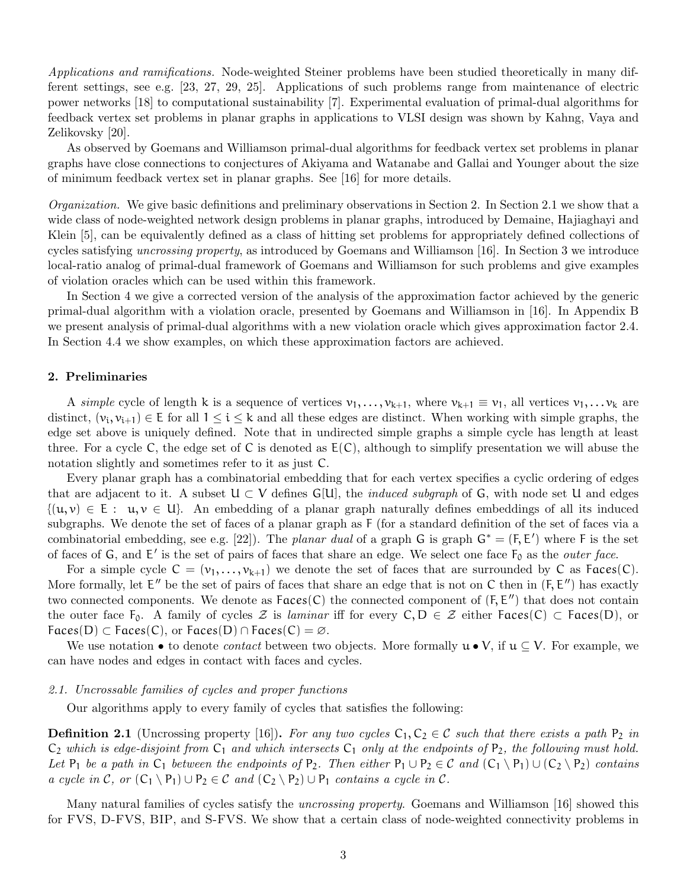Applications and ramifications. Node-weighted Steiner problems have been studied theoretically in many different settings, see e.g. [23, 27, 29, 25]. Applications of such problems range from maintenance of electric power networks [18] to computational sustainability [7]. Experimental evaluation of primal-dual algorithms for feedback vertex set problems in planar graphs in applications to VLSI design was shown by Kahng, Vaya and Zelikovsky [20].

As observed by Goemans and Williamson primal-dual algorithms for feedback vertex set problems in planar graphs have close connections to conjectures of Akiyama and Watanabe and Gallai and Younger about the size of minimum feedback vertex set in planar graphs. See [16] for more details.

Organization. We give basic definitions and preliminary observations in Section 2. In Section 2.1 we show that a wide class of node-weighted network design problems in planar graphs, introduced by Demaine, Hajiaghayi and Klein [5], can be equivalently defined as a class of hitting set problems for appropriately defined collections of cycles satisfying uncrossing property, as introduced by Goemans and Williamson [16]. In Section 3 we introduce local-ratio analog of primal-dual framework of Goemans and Williamson for such problems and give examples of violation oracles which can be used within this framework.

In Section 4 we give a corrected version of the analysis of the approximation factor achieved by the generic primal-dual algorithm with a violation oracle, presented by Goemans and Williamson in [16]. In Appendix B we present analysis of primal-dual algorithms with a new violation oracle which gives approximation factor 2.4. In Section 4.4 we show examples, on which these approximation factors are achieved.

## 2. Preliminaries

A simple cycle of length k is a sequence of vertices  $v_1, \ldots, v_{k+1}$ , where  $v_{k+1} \equiv v_1$ , all vertices  $v_1, \ldots, v_k$  are distinct,  $(v_i, v_{i+1}) \in E$  for all  $1 \le i \le k$  and all these edges are distinct. When working with simple graphs, the edge set above is uniquely defined. Note that in undirected simple graphs a simple cycle has length at least three. For a cycle C, the edge set of C is denoted as  $E(C)$ , although to simplify presentation we will abuse the notation slightly and sometimes refer to it as just C.

Every planar graph has a combinatorial embedding that for each vertex specifies a cyclic ordering of edges that are adjacent to it. A subset  $U \subset V$  defines  $G[U]$ , the *induced subgraph* of G, with node set U and edges  ${(u, v) \in E : u, v \in U}$ . An embedding of a planar graph naturally defines embeddings of all its induced subgraphs. We denote the set of faces of a planar graph as F (for a standard definition of the set of faces via a combinatorial embedding, see e.g. [22]). The planar dual of a graph G is graph  $G^* = (F, E')$  where F is the set of faces of  $G$ , and  $E'$  is the set of pairs of faces that share an edge. We select one face  $F_0$  as the *outer face*.

For a simple cycle  $C = (v_1, \ldots, v_{k+1})$  we denote the set of faces that are surrounded by C as Faces(C). More formally, let  $E''$  be the set of pairs of faces that share an edge that is not on C then in  $(F, E'')$  has exactly two connected components. We denote as  $Faces(C)$  the connected component of  $(F, E'')$  that does not contain the outer face  $F_0$ . A family of cycles  $\mathcal Z$  is laminar iff for every  $C, D \in \mathcal Z$  either  $Faces(C) \subset Faces(D)$ , or  $\text{Faces}(D) \subset \text{Faces}(C), \text{ or } \text{Faces}(D) \cap \text{Faces}(C) = \varnothing.$ 

We use notation • to denote *contact* between two objects. More formally  $u \bullet V$ , if  $u \subseteq V$ . For example, we can have nodes and edges in contact with faces and cycles.

#### 2.1. Uncrossable families of cycles and proper functions

Our algorithms apply to every family of cycles that satisfies the following:

**Definition 2.1** (Uncrossing property [16]). For any two cycles  $C_1, C_2 \in \mathcal{C}$  such that there exists a path  $P_2$  in  $C_2$  which is edge-disjoint from  $C_1$  and which intersects  $C_1$  only at the endpoints of P<sub>2</sub>, the following must hold. Let  $P_1$  be a path in  $C_1$  between the endpoints of  $P_2$ . Then either  $P_1 \cup P_2 \in C$  and  $(C_1 \setminus P_1) \cup (C_2 \setminus P_2)$  contains a cycle in C, or  $(C_1 \setminus P_1) \cup P_2 \in C$  and  $(C_2 \setminus P_2) \cup P_1$  contains a cycle in C.

Many natural families of cycles satisfy the *uncrossing property*. Goemans and Williamson [16] showed this for FVS, D-FVS, BIP, and S-FVS. We show that a certain class of node-weighted connectivity problems in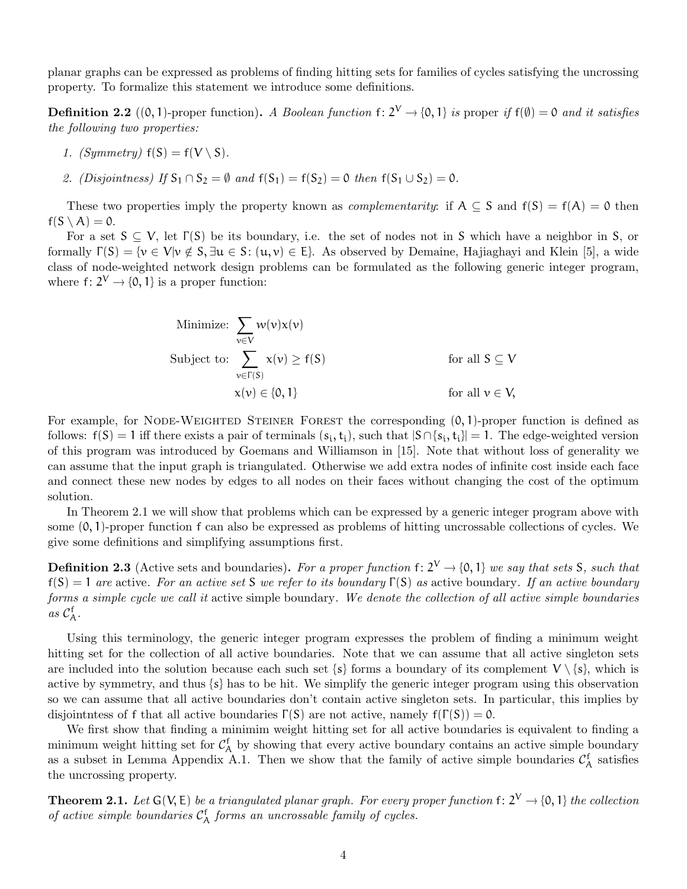planar graphs can be expressed as problems of finding hitting sets for families of cycles satisfying the uncrossing property. To formalize this statement we introduce some definitions.

**Definition 2.2** ((0, 1)-proper function). A Boolean function f:  $2^V \rightarrow \{0, 1\}$  is proper if  $f(\emptyset) = 0$  and it satisfies the following two properties:

- 1. (Symmetry)  $f(S) = f(V \setminus S)$ .
- 2. (Disjointness) If  $S_1 \cap S_2 = \emptyset$  and  $f(S_1) = f(S_2) = 0$  then  $f(S_1 \cup S_2) = 0$ .

These two properties imply the property known as *complementarity*: if  $A \subseteq S$  and  $f(S) = f(A) = 0$  then  $f(S \setminus A) = 0.$ 

For a set  $S \subseteq V$ , let  $\Gamma(S)$  be its boundary, i.e. the set of nodes not in S which have a neighbor in S, or formally  $\Gamma(S) = \{v \in V | v \notin S, \exists u \in S: (u, v) \in E\}$ . As observed by Demaine, Hajiaghayi and Klein [5], a wide class of node-weighted network design problems can be formulated as the following generic integer program, where  $f: 2^V \rightarrow \{0, 1\}$  is a proper function:

Minimize: 
$$
\sum_{v \in V} w(v)x(v)
$$
  
Subject to: 
$$
\sum_{v \in \Gamma(S)} x(v) \ge f(S)
$$
 for all  $S \subseteq V$   

$$
x(v) \in \{0, 1\}
$$
 for all  $v \in V$ ,

For example, for NODE-WEIGHTED STEINER FOREST the corresponding  $(0, 1)$ -proper function is defined as follows:  $f(S) = 1$  iff there exists a pair of terminals  $(s_i, t_i)$ , such that  $|S \cap \{s_i, t_i\}| = 1$ . The edge-weighted version of this program was introduced by Goemans and Williamson in [15]. Note that without loss of generality we can assume that the input graph is triangulated. Otherwise we add extra nodes of infinite cost inside each face and connect these new nodes by edges to all nodes on their faces without changing the cost of the optimum solution.

In Theorem 2.1 we will show that problems which can be expressed by a generic integer program above with some (0, 1)-proper function f can also be expressed as problems of hitting uncrossable collections of cycles. We give some definitions and simplifying assumptions first.

**Definition 2.3** (Active sets and boundaries). For a proper function f:  $2^V \rightarrow \{0, 1\}$  we say that sets S, such that  $f(S) = 1$  are active. For an active set S we refer to its boundary  $\Gamma(S)$  as active boundary. If an active boundary forms a simple cycle we call it active simple boundary. We denote the collection of all active simple boundaries as  $\mathcal{C}_{\mathcal{A}}^{\mathsf{f}}$ .

Using this terminology, the generic integer program expresses the problem of finding a minimum weight hitting set for the collection of all active boundaries. Note that we can assume that all active singleton sets are included into the solution because each such set  $\{s\}$  forms a boundary of its complement  $V \setminus \{s\}$ , which is active by symmetry, and thus {s} has to be hit. We simplify the generic integer program using this observation so we can assume that all active boundaries don't contain active singleton sets. In particular, this implies by disjointness of f that all active boundaries  $\Gamma(S)$  are not active, namely  $f(\Gamma(S)) = 0$ .

We first show that finding a minimim weight hitting set for all active boundaries is equivalent to finding a minimum weight hitting set for  $\mathcal{C}_{\mathcal{A}}^f$  by showing that every active boundary contains an active simple boundary as a subset in Lemma Appendix A.1. Then we show that the family of active simple boundaries  $\mathcal{C}_{\mathcal{A}}^{\mathsf{f}}$  satisfies the uncrossing property.

**Theorem 2.1.** Let  $G(V, E)$  be a triangulated planar graph. For every proper function  $f: 2^V \to \{0, 1\}$  the collection of active simple boundaries  $C_A^f$  forms an uncrossable family of cycles.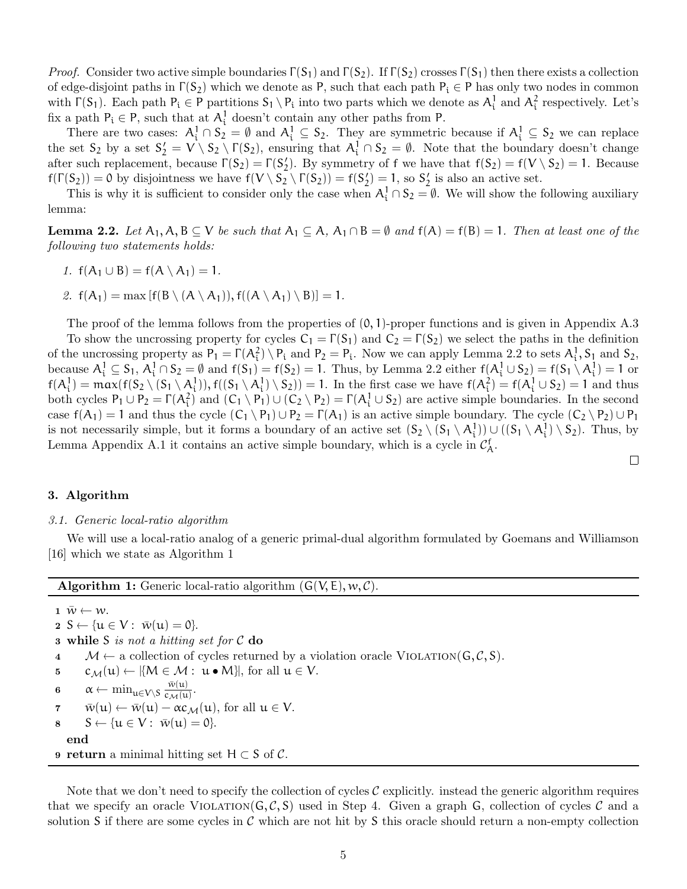*Proof.* Consider two active simple boundaries  $\Gamma(S_1)$  and  $\Gamma(S_2)$ . If  $\Gamma(S_2)$  crosses  $\Gamma(S_1)$  then there exists a collection of edge-disjoint paths in  $\Gamma(S_2)$  which we denote as P, such that each path  $P_i \in P$  has only two nodes in common with  $\Gamma(S_1)$ . Each path  $P_i \in P$  partitions  $S_1 \setminus P_i$  into two parts which we denote as  $A_i^1$  and  $A_i^2$  respectively. Let's fix a path  $P_i \in P$ , such that at  $A_i^1$  doesn't contain any other paths from P.

There are two cases:  $A_i^1 \cap S_2 = \emptyset$  and  $A_i^1 \subseteq S_2$ . They are symmetric because if  $A_i^1 \subseteq S_2$  we can replace the set  $S_2$  by a set  $S_2' = V \setminus S_2 \setminus \Gamma(S_2)$ , ensuring that  $A_i^1 \cap S_2 = \emptyset$ . Note that the boundary doesn't change after such replacement, because  $\Gamma(S_2) = \Gamma(S_2')$ . By symmetry of f we have that  $f(S_2) = f(V \setminus S_2) = 1$ . Because  $f(\Gamma(S_2)) = 0$  by disjointness we have  $f(V \setminus S_2 \setminus \Gamma(S_2)) = f(S_2') = 1$ , so  $S_2'$  is also an active set.

This is why it is sufficient to consider only the case when  $A_i^1 \cap S_2 = \emptyset$ . We will show the following auxiliary lemma:

**Lemma 2.2.** Let  $A_1, A, B \subseteq V$  be such that  $A_1 \subseteq A$ ,  $A_1 \cap B = \emptyset$  and  $f(A) = f(B) = 1$ . Then at least one of the following two statements holds:

- 1.  $f(A_1 \cup B) = f(A \setminus A_1) = 1$ .
- 2.  $f(A_1) = \max [f(B \setminus (A \setminus A_1)), f((A \setminus A_1) \setminus B)] = 1.$

The proof of the lemma follows from the properties of  $(0, 1)$ -proper functions and is given in Appendix A.3 To show the uncrossing property for cycles  $C_1 = \Gamma(S_1)$  and  $C_2 = \Gamma(S_2)$  we select the paths in the definition of the uncrossing property as  $P_1 = \Gamma(A_i^2) \setminus P_i$  and  $P_2 = P_i$ . Now we can apply Lemma 2.2 to sets  $A_i^1$ ,  $S_1$  and  $S_2$ , because  $A_i^1 \subseteq S_1$ ,  $A_i^1 \cap S_2 = \emptyset$  and  $f(S_1) = f(S_2) = 1$ . Thus, by Lemma 2.2 either  $f(A_i^1 \cup S_2) = f(S_1 \setminus A_i^1) = 1$  or  $f(A_i^1) = \max(f(S_2 \setminus (S_1 \setminus A_i^1)), f((S_1 \setminus A_i^1) \setminus S_2)) = 1$ . In the first case we have  $f(A_i^2) = f(A_i^1 \cup S_2) = 1$  and thus both cycles  $P_1 \cup P_2 = \Gamma(A_i^2)$  and  $(C_1 \setminus P_1) \cup (C_2 \setminus P_2) = \Gamma(A_i^1 \cup S_2)$  are active simple boundaries. In the second case  $f(A_1) = 1$  and thus the cycle  $(C_1 \setminus P_1) \cup P_2 = \Gamma(A_1)$  is an active simple boundary. The cycle  $(C_2 \setminus P_2) \cup P_1$ is not necessarily simple, but it forms a boundary of an active set  $(S_2 \setminus (S_1 \setminus A_i^1)) \cup ((S_1 \setminus A_i^1) \setminus S_2)$ . Thus, by Lemma Appendix A.1 it contains an active simple boundary, which is a cycle in  $\mathcal{C}_{A}^{f}$ .

 $\Box$ 

## 3. Algorithm

#### 3.1. Generic local-ratio algorithm

We will use a local-ratio analog of a generic primal-dual algorithm formulated by Goemans and Williamson [16] which we state as Algorithm 1

**Algorithm 1:** Generic local-ratio algorithm  $(G(V, E), w, C)$ .

 $1 \ \bar{w} \leftarrow w.$  $2 S \leftarrow \{u \in V : \bar{w}(u) = 0\}.$ **3** while S is not a hitting set for  $C$  do 4  $M \leftarrow$  a collection of cycles returned by a violation oracle VIOLATION(G, C, S).<br>5  $c_M(u) \leftarrow \{M \in \mathcal{M} : u \bullet M\}$ , for all  $u \in V$ .  $c_{\mathcal{M}}(u) \leftarrow |\{M \in \mathcal{M} : u \bullet M\}|$ , for all  $u \in V$ . 6  $\alpha \leftarrow \min_{\mathfrak{u} \in V \setminus S} \frac{\bar{w}(\mathfrak{u})}{c_{\mathcal{M}}(\mathfrak{u})}$  $\frac{w(u)}{c_{\mathcal{M}}(u)}$ .  $\overline{v}$   $\overline{w}(u) \leftarrow \overline{w}(u) - \alpha c_{\mathcal{M}}(u)$ , for all  $u \in V$ .<br>
8  $S \leftarrow \{u \in V : \overline{w}(u) = 0\}$ .  $S \leftarrow \{u \in V : \overline{w}(u) = 0\}.$ end 9 return a minimal hitting set  $H \subset S$  of C.

Note that we don't need to specify the collection of cycles  $\mathcal C$  explicitly. instead the generic algorithm requires that we specify an oracle VIOLATION( $G, C, S$ ) used in Step 4. Given a graph G, collection of cycles C and a solution S if there are some cycles in  $\mathcal C$  which are not hit by S this oracle should return a non-empty collection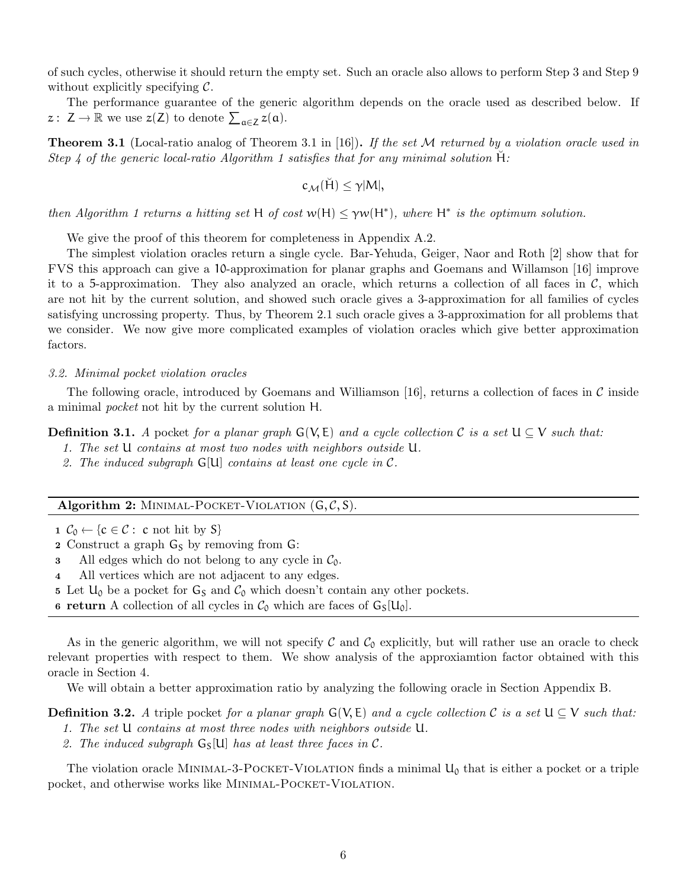of such cycles, otherwise it should return the empty set. Such an oracle also allows to perform Step 3 and Step 9 without explicitly specifying  $\mathcal{C}$ .

The performance guarantee of the generic algorithm depends on the oracle used as described below. If  $z: Z \to \mathbb{R}$  we use  $z(Z)$  to denote  $\sum_{\alpha \in Z} z(\alpha)$ .

**Theorem 3.1** (Local-ratio analog of Theorem 3.1 in [16]). If the set M returned by a violation oracle used in Step 4 of the generic local-ratio Algorithm 1 satisfies that for any minimal solution  $H$ :

$$
c_{\mathcal{M}}(\breve{H})\leq \gamma |M|,
$$

then Algorithm 1 returns a hitting set H of cost  $w(H) \leq \gamma w(H^*)$ , where H<sup>\*</sup> is the optimum solution.

We give the proof of this theorem for completeness in Appendix A.2.

The simplest violation oracles return a single cycle. Bar-Yehuda, Geiger, Naor and Roth [2] show that for FVS this approach can give a 10-approximation for planar graphs and Goemans and Willamson [16] improve it to a 5-approximation. They also analyzed an oracle, which returns a collection of all faces in  $\mathcal{C}$ , which are not hit by the current solution, and showed such oracle gives a 3-approximation for all families of cycles satisfying uncrossing property. Thus, by Theorem 2.1 such oracle gives a 3-approximation for all problems that we consider. We now give more complicated examples of violation oracles which give better approximation factors.

#### 3.2. Minimal pocket violation oracles

The following oracle, introduced by Goemans and Williamson [16], returns a collection of faces in  $\mathcal C$  inside a minimal pocket not hit by the current solution H.

**Definition 3.1.** A pocket for a planar graph  $G(V, E)$  and a cycle collection C is a set  $U \subseteq V$  such that:

- 1. The set U contains at most two nodes with neighbors outside U.
- 2. The induced subgraph G[U] contains at least one cycle in C.

## Algorithm 2: MINIMAL-POCKET-VIOLATION  $(G, \mathcal{C}, S)$ .

- 1  $C_0 \leftarrow \{c \in C : c \text{ not hit by } S\}$
- 2 Construct a graph  $G_S$  by removing from  $G$ :
- 3 All edges which do not belong to any cycle in  $C_0$ .
- 4 All vertices which are not adjacent to any edges.
- 5 Let  $U_0$  be a pocket for  $G_S$  and  $C_0$  which doesn't contain any other pockets.

6 return A collection of all cycles in  $\mathcal{C}_0$  which are faces of  $G_S[U_0]$ .

As in the generic algorithm, we will not specify  $\mathcal C$  and  $\mathcal C_0$  explicitly, but will rather use an oracle to check relevant properties with respect to them. We show analysis of the approxiamtion factor obtained with this oracle in Section 4.

We will obtain a better approximation ratio by analyzing the following oracle in Section Appendix B.

**Definition 3.2.** A triple pocket for a planar graph  $G(V, E)$  and a cycle collection C is a set  $U \subseteq V$  such that:

- 1. The set U contains at most three nodes with neighbors outside U.
- 2. The induced subgraph  $G_{S}[U]$  has at least three faces in C.

The violation oracle MINIMAL-3-POCKET-VIOLATION finds a minimal  $U_0$  that is either a pocket or a triple pocket, and otherwise works like MINIMAL-POCKET-VIOLATION.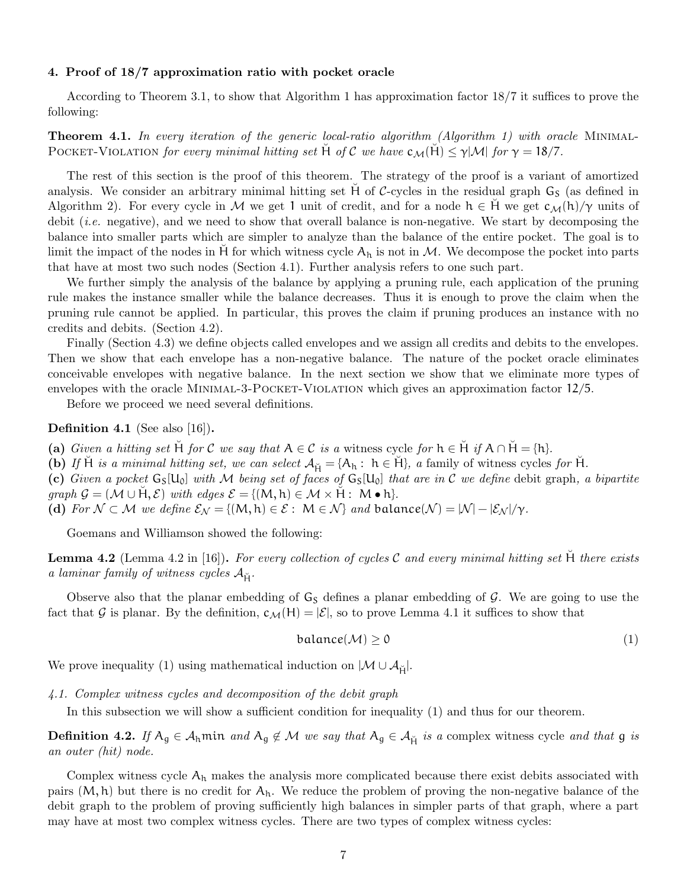#### 4. Proof of 18/7 approximation ratio with pocket oracle

According to Theorem 3.1, to show that Algorithm 1 has approximation factor 18/7 it suffices to prove the following:

**Theorem 4.1.** In every iteration of the generic local-ratio algorithm (Algorithm 1) with oracle MINIMAL-POCKET-VIOLATION for every minimal hitting set H of C we have  $c_M(H) \leq \gamma |\mathcal{M}|$  for  $\gamma = 18/7$ .

The rest of this section is the proof of this theorem. The strategy of the proof is a variant of amortized analysis. We consider an arbitrary minimal hitting set  $H$  of C-cycles in the residual graph  $G<sub>S</sub>$  (as defined in Algorithm 2). For every cycle in M we get 1 unit of credit, and for a node  $h \in H$  we get  $c_{\mathcal{M}}(h)/\gamma$  units of debit *(i.e.* negative), and we need to show that overall balance is non-negative. We start by decomposing the balance into smaller parts which are simpler to analyze than the balance of the entire pocket. The goal is to limit the impact of the nodes in H for which witness cycle  $A_h$  is not in M. We decompose the pocket into parts that have at most two such nodes (Section 4.1). Further analysis refers to one such part.

We further simply the analysis of the balance by applying a pruning rule, each application of the pruning rule makes the instance smaller while the balance decreases. Thus it is enough to prove the claim when the pruning rule cannot be applied. In particular, this proves the claim if pruning produces an instance with no credits and debits. (Section 4.2).

Finally (Section 4.3) we define objects called envelopes and we assign all credits and debits to the envelopes. Then we show that each envelope has a non-negative balance. The nature of the pocket oracle eliminates conceivable envelopes with negative balance. In the next section we show that we eliminate more types of envelopes with the oracle MINIMAL-3-POCKET-VIOLATION which gives an approximation factor  $12/5$ .

Before we proceed we need several definitions.

## Definition 4.1 (See also [16]).

- (a) Given a hitting set H for C we say that  $A \in \mathcal{C}$  is a witness cycle for  $h \in H$  if  $A \cap H = \{h\}$ .
- (b) If H<sup> $i$ </sup> is a minimal hitting set, we can select  $A_{\tilde{H}} = \{A_h : h \in \tilde{H}\}\$ , a family of witness cycles for  $\tilde{H}$ .

(c) Given a pocket  $G_S[U_0]$  with M being set of faces of  $G_S[U_0]$  that are in C we define debit graph, a bipartite  $graph \mathcal{G} = (\mathcal{M} \cup \check{H}, \mathcal{E})$  with edges  $\mathcal{E} = \{ (M, h) \in \mathcal{M} \times \check{H} : M \bullet h \}.$ 

(d) For  $\mathcal{N} \subset \mathcal{M}$  we define  $\mathcal{E}_{\mathcal{N}} = \{ (M, h) \in \mathcal{E} : M \in \mathcal{N} \}$  and balance $(\mathcal{N}) = |\mathcal{N}| - |\mathcal{E}_{\mathcal{N}}|/\gamma$ .

Goemans and Williamson showed the following:

**Lemma 4.2** (Lemma 4.2 in [16]). For every collection of cycles C and every minimal hitting set  $H$  there exists a laminar family of witness cycles  $A_{\rm H}$ .

Observe also that the planar embedding of  $G_S$  defines a planar embedding of  $G$ . We are going to use the fact that G is planar. By the definition,  $c_{\mathcal{M}}(H) = |\mathcal{E}|$ , so to prove Lemma 4.1 it suffices to show that

$$
balance(\mathcal{M}) \ge 0 \tag{1}
$$

We prove inequality (1) using mathematical induction on  $|\mathcal{M} \cup \mathcal{A}_{\breve{\mathsf{H}}}|$ .

4.1. Complex witness cycles and decomposition of the debit graph

In this subsection we will show a sufficient condition for inequality (1) and thus for our theorem.

**Definition 4.2.** If  $A_g \in A_h$  min and  $A_g \notin M$  we say that  $A_g \in A_{\tilde{H}}$  is a complex witness cycle and that g is an outer (hit) node.

Complex witness cycle  $A_h$  makes the analysis more complicated because there exist debits associated with pairs  $(M, h)$  but there is no credit for  $A_h$ . We reduce the problem of proving the non-negative balance of the debit graph to the problem of proving sufficiently high balances in simpler parts of that graph, where a part may have at most two complex witness cycles. There are two types of complex witness cycles: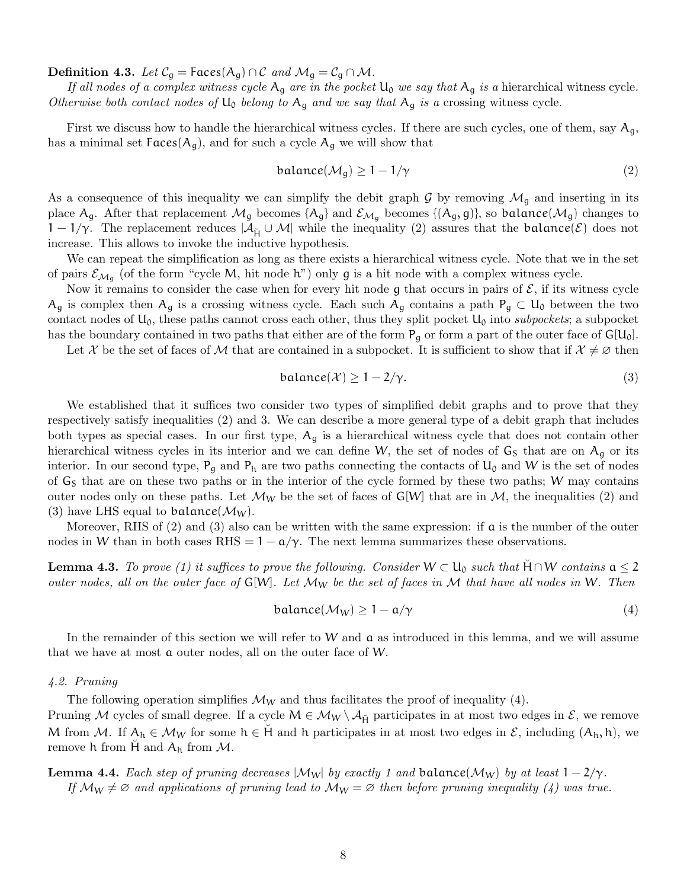**Definition 4.3.** Let  $C_q$  = Faces( $A_q$ ) ∩ C and  $M_q = C_q \cap M$ .

If all nodes of a complex witness cycle  $A_q$  are in the pocket  $U_0$  we say that  $A_q$  is a hierarchical witness cycle. Otherwise both contact nodes of  $U_0$  belong to  $A_g$  and we say that  $A_g$  is a crossing witness cycle.

First we discuss how to handle the hierarchical witness cycles. If there are such cycles, one of them, say  $A_q$ , has a minimal set  $Faces(A_q)$ , and for such a cycle  $A_q$  we will show that

$$
balance(\mathcal{M}_g) \ge 1 - 1/\gamma \tag{2}
$$

As a consequence of this inequality we can simplify the debit graph G by removing  $\mathcal{M}_q$  and inserting in its place  $A_g$ . After that replacement  $\mathcal{M}_g$  becomes  $\{A_g\}$  and  $\mathcal{E}_{\mathcal{M}_g}$  becomes  $\{(A_g, g)\}$ , so balance $(\mathcal{M}_g)$  changes to  $1-1/\gamma$ . The replacement reduces  $|\mathcal{A}_{\breve{\mu}} \cup \mathcal{M}|$  while the inequality (2) assures that the balance(E) does not increase. This allows to invoke the inductive hypothesis.

We can repeat the simplification as long as there exists a hierarchical witness cycle. Note that we in the set of pairs  $\mathcal{E}_{\mathcal{M}_g}$  (of the form "cycle M, hit node h") only g is a hit node with a complex witness cycle.

Now it remains to consider the case when for every hit node g that occurs in pairs of  $\mathcal{E}$ , if its witness cycle  $A_g$  is complex then  $A_g$  is a crossing witness cycle. Each such  $A_g$  contains a path  $P_g \subset U_0$  between the two contact nodes of  $U_0$ , these paths cannot cross each other, thus they split pocket  $U_0$  into subpockets; a subpocket has the boundary contained in two paths that either are of the form  $P_q$  or form a part of the outer face of  $G[U_0]$ .

Let X be the set of faces of M that are contained in a subpocket. It is sufficient to show that if  $\mathcal{X} \neq \emptyset$  then

$$
balance(\mathcal{X}) \ge 1 - 2/\gamma. \tag{3}
$$

We established that it suffices two consider two types of simplified debit graphs and to prove that they respectively satisfy inequalities (2) and 3. We can describe a more general type of a debit graph that includes both types as special cases. In our first type,  $A<sub>g</sub>$  is a hierarchical witness cycle that does not contain other hierarchical witness cycles in its interior and we can define W, the set of nodes of  $G_S$  that are on  $A_g$  or its interior. In our second type,  $P_q$  and  $P_h$  are two paths connecting the contacts of  $U_0$  and W is the set of nodes of  $G<sub>S</sub>$  that are on these two paths or in the interior of the cycle formed by these two paths; W may contains outer nodes only on these paths. Let  $\mathcal{M}_W$  be the set of faces of G[W] that are in  $\mathcal{M}$ , the inequalities (2) and (3) have LHS equal to balance( $\mathcal{M}_W$ ).

Moreover, RHS of  $(2)$  and  $(3)$  also can be written with the same expression: if **a** is the number of the outer nodes in W than in both cases RHS =  $1 - \frac{\alpha}{\gamma}$ . The next lemma summarizes these observations.

**Lemma 4.3.** To prove (1) it suffices to prove the following. Consider  $W \subset U_0$  such that  $H \cap W$  contains  $a \leq 2$ outer nodes, all on the outer face of  $G[W]$ . Let  $\mathcal{M}_W$  be the set of faces in M that have all nodes in W. Then

$$
balance(\mathcal{M}_W) \ge 1 - \mathfrak{a}/\gamma \tag{4}
$$

In the remainder of this section we will refer to W and  $\alpha$  as introduced in this lemma, and we will assume that we have at most a outer nodes, all on the outer face of W.

#### 4.2. Pruning

The following operation simplifies  $\mathcal{M}_W$  and thus facilitates the proof of inequality (4).

Pruning M cycles of small degree. If a cycle  $M \in \mathcal{M}_W \setminus \mathcal{A}_{\breve{H}}$  participates in at most two edges in  $\mathcal{E}$ , we remove M from M. If  $A_h \in M_W$  for some  $h \in H$  and h participates in at most two edges in  $\mathcal{E}$ , including  $(A_h, h)$ , we remove h from H and  $A_h$  from M.

**Lemma 4.4.** Each step of pruning decreases  $|\mathcal{M}_W|$  by exactly 1 and balance( $\mathcal{M}_W$ ) by at least  $1 - 2/\gamma$ . If  $\mathcal{M}_{W} \neq \emptyset$  and applications of pruning lead to  $\mathcal{M}_{W} = \emptyset$  then before pruning inequality (4) was true.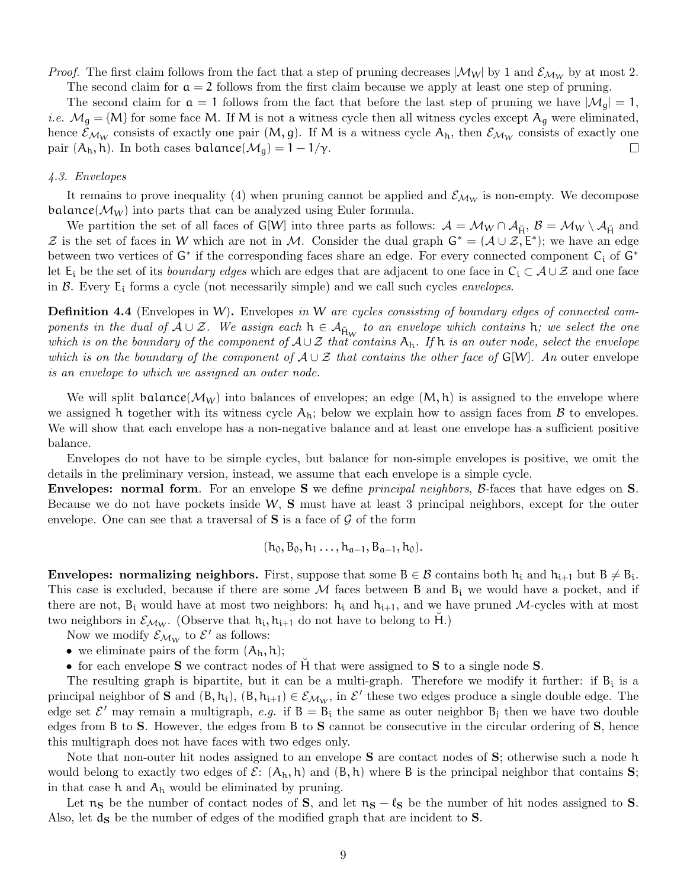*Proof.* The first claim follows from the fact that a step of pruning decreases  $|\mathcal{M}_W|$  by 1 and  $\mathcal{E}_{\mathcal{M}_W}$  by at most 2.

The second claim for  $a = 2$  follows from the first claim because we apply at least one step of pruning. The second claim for  $a = 1$  follows from the fact that before the last step of pruning we have  $|\mathcal{M}_q| = 1$ , *i.e.*  $M_g = {M}$  for some face M. If M is not a witness cycle then all witness cycles except  $A_g$  were eliminated, hence  $\mathcal{E}_{\mathcal{M}_W}$  consists of exactly one pair  $(M, g)$ . If M is a witness cycle  $A_h$ , then  $\mathcal{E}_{\mathcal{M}_W}$  consists of exactly one pair  $(A_h, h)$ . In both cases balance $(\mathcal{M}_q) = 1 - 1/\gamma$ .  $\Box$ 

### 4.3. Envelopes

It remains to prove inequality (4) when pruning cannot be applied and  $\mathcal{E}_{\mathcal{M}_W}$  is non-empty. We decompose balance( $\mathcal{M}_W$ ) into parts that can be analyzed using Euler formula.

We partition the set of all faces of G[W] into three parts as follows:  $A = \mathcal{M}_W \cap \mathcal{A}_{\check{H}}, B = \mathcal{M}_W \setminus \mathcal{A}_{\check{H}}$  and Z is the set of faces in W which are not in M. Consider the dual graph  $G^* = (\mathcal{A} \cup \mathcal{Z}, E^*)$ ; we have an edge between two vertices of  $G^*$  if the corresponding faces share an edge. For every connected component  $C_i$  of  $G^*$ let  $E_i$  be the set of its *boundary edges* which are edges that are adjacent to one face in  $C_i \subset A \cup \mathcal{Z}$  and one face in  $\beta$ . Every  $E_i$  forms a cycle (not necessarily simple) and we call such cycles *envelopes*.

**Definition 4.4** (Envelopes in W). Envelopes in W are cycles consisting of boundary edges of connected components in the dual of  $A\cup\mathcal{Z}$ . We assign each  $h\in\mathcal{A}_{\mathsf{H}_W}$  to an envelope which contains  $h$ ; we select the one which is on the boundary of the component of  $A\cup\mathcal{Z}$  that contains  $A_h$ . If h is an outer node, select the envelope which is on the boundary of the component of  $A \cup \mathcal{Z}$  that contains the other face of G[W]. An outer envelope is an envelope to which we assigned an outer node.

We will split balance( $\mathcal{M}_W$ ) into balances of envelopes; an edge  $(M, h)$  is assigned to the envelope where we assigned h together with its witness cycle  $A_h$ ; below we explain how to assign faces from  $\beta$  to envelopes. We will show that each envelope has a non-negative balance and at least one envelope has a sufficient positive balance.

Envelopes do not have to be simple cycles, but balance for non-simple envelopes is positive, we omit the details in the preliminary version, instead, we assume that each envelope is a simple cycle.

**Envelopes: normal form**. For an envelope **S** we define *principal neighbors*, B-faces that have edges on **S**. Because we do not have pockets inside W,  $S$  must have at least 3 principal neighbors, except for the outer envelope. One can see that a traversal of  $S$  is a face of  $G$  of the form

$$
(h_0, B_0, h_1 \ldots, h_{a-1}, B_{a-1}, h_0).
$$

**Envelopes: normalizing neighbors.** First, suppose that some  $B \in \mathcal{B}$  contains both  $h_i$  and  $h_{i+1}$  but  $B \neq B_i$ . This case is excluded, because if there are some  $\mathcal M$  faces between B and  $B_i$  we would have a pocket, and if there are not,  $B_i$  would have at most two neighbors:  $h_i$  and  $h_{i+1}$ , and we have pruned M-cycles with at most two neighbors in  $\mathcal{E}_{\mathcal{M}_W}$ . (Observe that  $h_i, h_{i+1}$  do not have to belong to  $\breve{H}$ .)

Now we modify  $\mathcal{E}_{\mathcal{M}_W}$  to  $\mathcal{E}'$  as follows:

• we eliminate pairs of the form  $(A_h, h)$ ;

• for each envelope **S** we contract nodes of H<sup>†</sup> that were assigned to **S** to a single node **S**.

The resulting graph is bipartite, but it can be a multi-graph. Therefore we modify it further: if  $B_i$  is a principal neighbor of **S** and  $(B, h_i)$ ,  $(B, h_{i+1}) \in \mathcal{E}_{\mathcal{M}_W}$ , in  $\mathcal{E}'$  these two edges produce a single double edge. The edge set  $\mathcal{E}'$  may remain a multigraph, e.g. if  $B = B_i$  the same as outer neighbor  $B_j$  then we have two double edges from B to S. However, the edges from B to S cannot be consecutive in the circular ordering of S, hence this multigraph does not have faces with two edges only.

Note that non-outer hit nodes assigned to an envelope **S** are contact nodes of **S**; otherwise such a node h would belong to exactly two edges of  $\mathcal{E}:$   $(A_h, h)$  and  $(B, h)$  where B is the principal neighbor that contains S; in that case  $h$  and  $A_h$  would be eliminated by pruning.

Let  $n_S$  be the number of contact nodes of S, and let  $n_S - \ell_S$  be the number of hit nodes assigned to S. Also, let  $\mathbf{d}_{\mathbf{S}}$  be the number of edges of the modified graph that are incident to  $\mathbf{S}$ .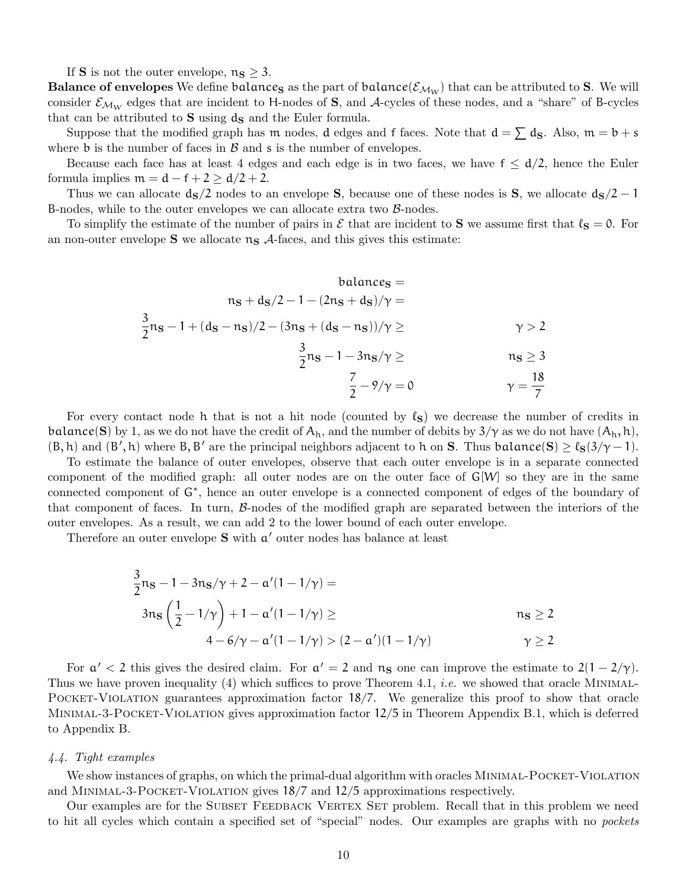If **S** is not the outer envelope,  $n_S \geq 3$ .

**Balance of envelopes** We define balances as the part of balance( $\mathcal{E}_{M_W}$ ) that can be attributed to S. We will consider  $\mathcal{E}_{\mathcal{M}_W}$  edges that are incident to H-nodes of S, and A-cycles of these nodes, and a "share" of B-cycles that can be attributed to  $S$  using  $d_S$  and the Euler formula.

Suppose that the modified graph has m nodes, d edges and f faces. Note that  $d = \sum d_S$ . Also,  $m = b + s$ where  $\mathfrak b$  is the number of faces in  $\mathcal B$  and  $\mathfrak s$  is the number of envelopes.

Because each face has at least 4 edges and each edge is in two faces, we have  $f \leq d/2$ , hence the Euler formula implies  $m = d - f + 2 \ge d/2 + 2$ .

Thus we can allocate  $d_S/2$  nodes to an envelope S, because one of these nodes is S, we allocate  $d_S/2 - 1$ B-nodes, while to the outer envelopes we can allocate extra two  $\beta$ -nodes.

To simplify the estimate of the number of pairs in  $\mathcal E$  that are incident to S we assume first that  $\ell_S = 0$ . For an non-outer envelope  $S$  we allocate  $n_S$   $\mathcal{A}$ -faces, and this gives this estimate:

$$
balance_S =
$$
  
\n
$$
n_S + d_S/2 - 1 - (2n_S + d_S)/\gamma =
$$
  
\n
$$
\frac{3}{2}n_S - 1 + (d_S - n_S)/2 - (3n_S + (d_S - n_S))/\gamma \ge
$$
  
\n
$$
\frac{3}{2}n_S - 1 - 3n_S/\gamma \ge
$$
  
\n
$$
\frac{7}{2} - 9/\gamma = 0
$$
  
\n
$$
\gamma = \frac{18}{7}
$$

For every contact node h that is not a hit node (counted by  $\ell_{S}$ ) we decrease the number of credits in balance(S) by 1, as we do not have the credit of  $A_h$ , and the number of debits by  $3/\gamma$  as we do not have  $(A_h, h)$ ,  $(B, h)$  and  $(B', h)$  where  $B, B'$  are the principal neighbors adjacent to h on S. Thus balance(S)  $\geq \ell_S(3/\gamma - 1)$ .

To estimate the balance of outer envelopes, observe that each outer envelope is in a separate connected component of the modified graph: all outer nodes are on the outer face of  $G[W]$  so they are in the same connected component of G<sup>∗</sup> , hence an outer envelope is a connected component of edges of the boundary of that component of faces. In turn,  $\beta$ -nodes of the modified graph are separated between the interiors of the outer envelopes. As a result, we can add 2 to the lower bound of each outer envelope.

Therefore an outer envelope  $S$  with  $a'$  outer nodes has balance at least

$$
\frac{3}{2}n_{\mathbf{S}} - 1 - 3n_{\mathbf{S}}/\gamma + 2 - \alpha'(1 - 1/\gamma) =
$$
  
\n
$$
3n_{\mathbf{S}}\left(\frac{1}{2} - 1/\gamma\right) + 1 - \alpha'(1 - 1/\gamma) \ge n_{\mathbf{S}} \ge 2
$$
  
\n
$$
4 - 6/\gamma - \alpha'(1 - 1/\gamma) > (2 - \alpha')(1 - 1/\gamma) \qquad \gamma \ge 2
$$

For  $a' < 2$  this gives the desired claim. For  $a' = 2$  and  $n_S$  one can improve the estimate to  $2(1 - 2/\gamma)$ . Thus we have proven inequality (4) which suffices to prove Theorem 4.1, *i.e.* we showed that oracle MINIMAL-POCKET-VIOLATION guarantees approximation factor 18/7. We generalize this proof to show that oracle Minimal-3-Pocket-Violation gives approximation factor 12/5 in Theorem Appendix B.1, which is deferred to Appendix B.

#### 4.4. Tight examples

We show instances of graphs, on which the primal-dual algorithm with oracles MINIMAL-POCKET-VIOLATION and Minimal-3-Pocket-Violation gives 18/7 and 12/5 approximations respectively.

Our examples are for the SUBSET FEEDBACK VERTEX SET problem. Recall that in this problem we need to hit all cycles which contain a specified set of "special" nodes. Our examples are graphs with no pockets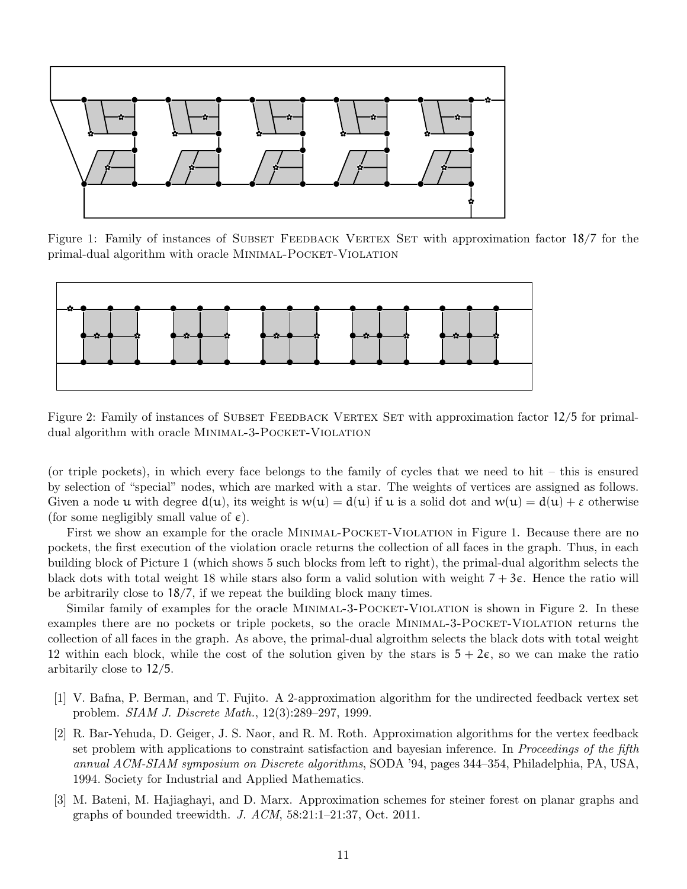

Figure 1: Family of instances of SUBSET FEEDBACK VERTEX SET with approximation factor 18/7 for the primal-dual algorithm with oracle MINIMAL-POCKET-VIOLATION



Figure 2: Family of instances of SUBSET FEEDBACK VERTEX SET with approximation factor 12/5 for primaldual algorithm with oracle MINIMAL-3-POCKET-VIOLATION

(or triple pockets), in which every face belongs to the family of cycles that we need to hit – this is ensured by selection of "special" nodes, which are marked with a star. The weights of vertices are assigned as follows. Given a node u with degree  $d(u)$ , its weight is  $w(u) = d(u)$  if u is a solid dot and  $w(u) = d(u) + \varepsilon$  otherwise (for some negligibly small value of  $\epsilon$ ).

First we show an example for the oracle MINIMAL-POCKET-VIOLATION in Figure 1. Because there are no pockets, the first execution of the violation oracle returns the collection of all faces in the graph. Thus, in each building block of Picture 1 (which shows 5 such blocks from left to right), the primal-dual algorithm selects the black dots with total weight 18 while stars also form a valid solution with weight  $7 + 3\varepsilon$ . Hence the ratio will be arbitrarily close to 18/7, if we repeat the building block many times.

Similar family of examples for the oracle MINIMAL-3-POCKET-VIOLATION is shown in Figure 2. In these examples there are no pockets or triple pockets, so the oracle Minimal-3-Pocket-Violation returns the collection of all faces in the graph. As above, the primal-dual algroithm selects the black dots with total weight 12 within each block, while the cost of the solution given by the stars is  $5 + 2\epsilon$ , so we can make the ratio arbitarily close to 12/5.

- [1] V. Bafna, P. Berman, and T. Fujito. A 2-approximation algorithm for the undirected feedback vertex set problem. SIAM J. Discrete Math., 12(3):289–297, 1999.
- [2] R. Bar-Yehuda, D. Geiger, J. S. Naor, and R. M. Roth. Approximation algorithms for the vertex feedback set problem with applications to constraint satisfaction and bayesian inference. In *Proceedings of the fifth* annual ACM-SIAM symposium on Discrete algorithms, SODA '94, pages 344–354, Philadelphia, PA, USA, 1994. Society for Industrial and Applied Mathematics.
- [3] M. Bateni, M. Hajiaghayi, and D. Marx. Approximation schemes for steiner forest on planar graphs and graphs of bounded treewidth. J. ACM, 58:21:1–21:37, Oct. 2011.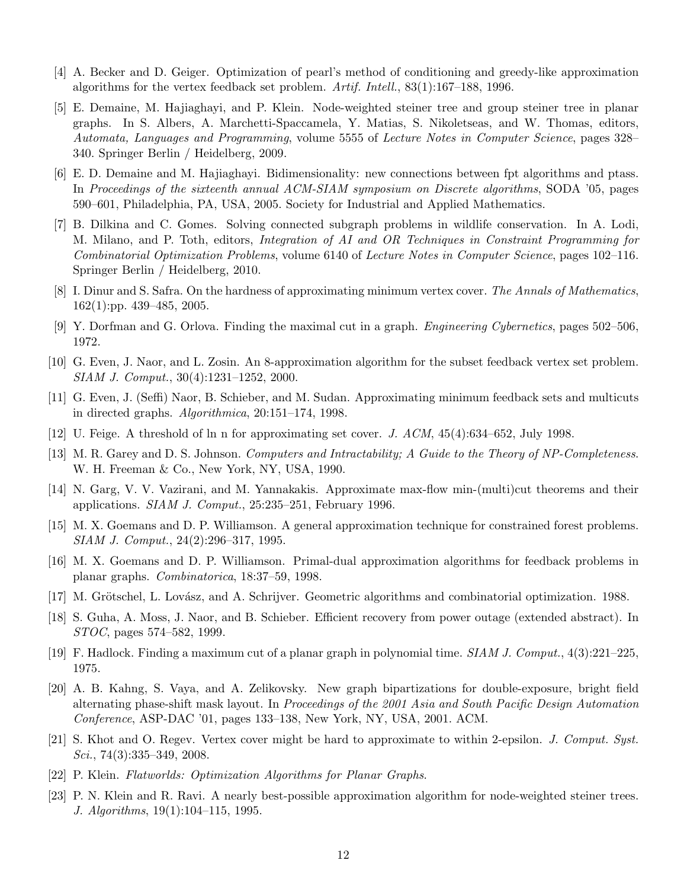- [4] A. Becker and D. Geiger. Optimization of pearl's method of conditioning and greedy-like approximation algorithms for the vertex feedback set problem. Artif. Intell., 83(1):167–188, 1996.
- [5] E. Demaine, M. Hajiaghayi, and P. Klein. Node-weighted steiner tree and group steiner tree in planar graphs. In S. Albers, A. Marchetti-Spaccamela, Y. Matias, S. Nikoletseas, and W. Thomas, editors, Automata, Languages and Programming, volume 5555 of Lecture Notes in Computer Science, pages 328– 340. Springer Berlin / Heidelberg, 2009.
- [6] E. D. Demaine and M. Hajiaghayi. Bidimensionality: new connections between fpt algorithms and ptass. In Proceedings of the sixteenth annual ACM-SIAM symposium on Discrete algorithms, SODA '05, pages 590–601, Philadelphia, PA, USA, 2005. Society for Industrial and Applied Mathematics.
- [7] B. Dilkina and C. Gomes. Solving connected subgraph problems in wildlife conservation. In A. Lodi, M. Milano, and P. Toth, editors, Integration of AI and OR Techniques in Constraint Programming for Combinatorial Optimization Problems, volume 6140 of Lecture Notes in Computer Science, pages 102–116. Springer Berlin / Heidelberg, 2010.
- [8] I. Dinur and S. Safra. On the hardness of approximating minimum vertex cover. The Annals of Mathematics, 162(1):pp. 439–485, 2005.
- [9] Y. Dorfman and G. Orlova. Finding the maximal cut in a graph. Engineering Cybernetics, pages 502–506, 1972.
- [10] G. Even, J. Naor, and L. Zosin. An 8-approximation algorithm for the subset feedback vertex set problem. SIAM J. Comput., 30(4):1231–1252, 2000.
- [11] G. Even, J. (Seffi) Naor, B. Schieber, and M. Sudan. Approximating minimum feedback sets and multicuts in directed graphs. Algorithmica, 20:151–174, 1998.
- [12] U. Feige. A threshold of ln n for approximating set cover. J. ACM, 45(4):634–652, July 1998.
- [13] M. R. Garey and D. S. Johnson. Computers and Intractability; A Guide to the Theory of NP-Completeness. W. H. Freeman & Co., New York, NY, USA, 1990.
- [14] N. Garg, V. V. Vazirani, and M. Yannakakis. Approximate max-flow min-(multi)cut theorems and their applications. SIAM J. Comput., 25:235–251, February 1996.
- [15] M. X. Goemans and D. P. Williamson. A general approximation technique for constrained forest problems. SIAM J. Comput., 24(2):296–317, 1995.
- [16] M. X. Goemans and D. P. Williamson. Primal-dual approximation algorithms for feedback problems in planar graphs. Combinatorica, 18:37–59, 1998.
- [17] M. Grötschel, L. Lovász, and A. Schrijver. Geometric algorithms and combinatorial optimization. 1988.
- [18] S. Guha, A. Moss, J. Naor, and B. Schieber. Efficient recovery from power outage (extended abstract). In STOC, pages 574–582, 1999.
- [19] F. Hadlock. Finding a maximum cut of a planar graph in polynomial time. SIAM J. Comput., 4(3):221–225, 1975.
- [20] A. B. Kahng, S. Vaya, and A. Zelikovsky. New graph bipartizations for double-exposure, bright field alternating phase-shift mask layout. In Proceedings of the 2001 Asia and South Pacific Design Automation Conference, ASP-DAC '01, pages 133–138, New York, NY, USA, 2001. ACM.
- [21] S. Khot and O. Regev. Vertex cover might be hard to approximate to within 2-epsilon. J. Comput. Syst.  $Sci.$ , 74(3):335–349, 2008.
- [22] P. Klein. Flatworlds: Optimization Algorithms for Planar Graphs.
- [23] P. N. Klein and R. Ravi. A nearly best-possible approximation algorithm for node-weighted steiner trees. J. Algorithms, 19(1):104–115, 1995.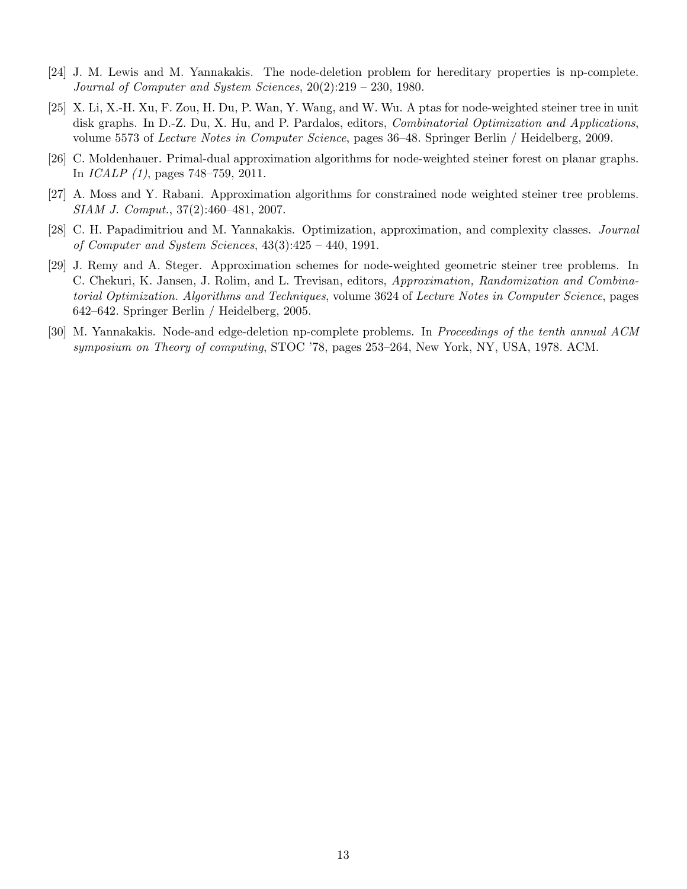- [24] J. M. Lewis and M. Yannakakis. The node-deletion problem for hereditary properties is np-complete. Journal of Computer and System Sciences, 20(2):219 – 230, 1980.
- [25] X. Li, X.-H. Xu, F. Zou, H. Du, P. Wan, Y. Wang, and W. Wu. A ptas for node-weighted steiner tree in unit disk graphs. In D.-Z. Du, X. Hu, and P. Pardalos, editors, Combinatorial Optimization and Applications, volume 5573 of Lecture Notes in Computer Science, pages 36–48. Springer Berlin / Heidelberg, 2009.
- [26] C. Moldenhauer. Primal-dual approximation algorithms for node-weighted steiner forest on planar graphs. In ICALP (1), pages 748–759, 2011.
- [27] A. Moss and Y. Rabani. Approximation algorithms for constrained node weighted steiner tree problems. SIAM J. Comput., 37(2):460–481, 2007.
- [28] C. H. Papadimitriou and M. Yannakakis. Optimization, approximation, and complexity classes. Journal of Computer and System Sciences, 43(3):425 – 440, 1991.
- [29] J. Remy and A. Steger. Approximation schemes for node-weighted geometric steiner tree problems. In C. Chekuri, K. Jansen, J. Rolim, and L. Trevisan, editors, Approximation, Randomization and Combinatorial Optimization. Algorithms and Techniques, volume 3624 of Lecture Notes in Computer Science, pages 642–642. Springer Berlin / Heidelberg, 2005.
- [30] M. Yannakakis. Node-and edge-deletion np-complete problems. In Proceedings of the tenth annual ACM symposium on Theory of computing, STOC '78, pages 253–264, New York, NY, USA, 1978. ACM.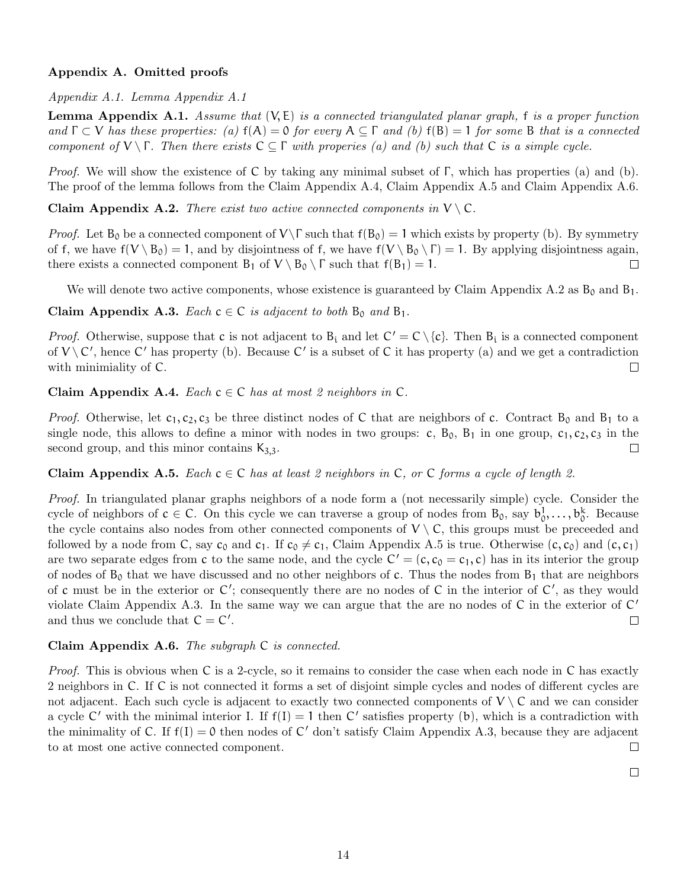# Appendix A. Omitted proofs

Appendix A.1. Lemma Appendix A.1

**Lemma Appendix A.1.** Assume that  $(V, E)$  is a connected triangulated planar graph, f is a proper function and  $\Gamma \subset V$  has these properties: (a)  $f(A) = 0$  for every  $A \subseteq \Gamma$  and (b)  $f(B) = 1$  for some B that is a connected component of  $V \setminus \Gamma$ . Then there exists  $C \subseteq \Gamma$  with properies (a) and (b) such that C is a simple cycle.

*Proof.* We will show the existence of C by taking any minimal subset of  $\Gamma$ , which has properties (a) and (b). The proof of the lemma follows from the Claim Appendix A.4, Claim Appendix A.5 and Claim Appendix A.6.

Claim Appendix A.2. There exist two active connected components in  $V \setminus C$ .

*Proof.* Let  $B_0$  be a connected component of  $V\T$  such that  $f(B_0) = 1$  which exists by property (b). By symmetry of f, we have  $f(V \setminus B_0) = 1$ , and by disjointness of f, we have  $f(V \setminus B_0 \setminus \Gamma) = 1$ . By applying disjointness again, there exists a connected component  $B_1$  of  $V \setminus B_0 \setminus \Gamma$  such that  $f(B_1) = 1$ .  $\Box$ 

We will denote two active components, whose existence is guaranteed by Claim Appendix A.2 as  $B_0$  and  $B_1$ .

Claim Appendix A.3. Each  $c \in C$  is adjacent to both  $B_0$  and  $B_1$ .

*Proof.* Otherwise, suppose that c is not adjacent to  $B_i$  and let  $C' = C \setminus \{c\}$ . Then  $B_i$  is a connected component of  $V \setminus C'$ , hence C' has property (b). Because C' is a subset of C it has property (a) and we get a contradiction with minimiality of C.  $\Box$ 

Claim Appendix A.4. Each  $c \in C$  has at most 2 neighbors in C.

*Proof.* Otherwise, let  $c_1, c_2, c_3$  be three distinct nodes of C that are neighbors of c. Contract  $B_0$  and  $B_1$  to a single node, this allows to define a minor with nodes in two groups: c,  $B_0$ ,  $B_1$  in one group,  $c_1$ ,  $c_2$ ,  $c_3$  in the second group, and this minor contains  $K_{3,3}$ .  $\Box$ 

**Claim Appendix A.5.** Each  $c \in C$  has at least 2 neighbors in C, or C forms a cycle of length 2.

Proof. In triangulated planar graphs neighbors of a node form a (not necessarily simple) cycle. Consider the cycle of neighbors of  $c \in C$ . On this cycle we can traverse a group of nodes from  $B_0$ , say  $b_0^1, \ldots, b_0^k$ . Because the cycle contains also nodes from other connected components of  $V \setminus C$ , this groups must be preceeded and followed by a node from C, say  $c_0$  and  $c_1$ . If  $c_0 \neq c_1$ , Claim Appendix A.5 is true. Otherwise  $(c, c_0)$  and  $(c, c_1)$ are two separate edges from c to the same node, and the cycle  $C' = (c, c_0 = c_1, c)$  has in its interior the group of nodes of  $B_0$  that we have discussed and no other neighbors of c. Thus the nodes from  $B_1$  that are neighbors of c must be in the exterior or  $C'$ ; consequently there are no nodes of C in the interior of  $C'$ , as they would violate Claim Appendix A.3. In the same way we can argue that the are no nodes of  $C$  in the exterior of  $C'$ and thus we conclude that  $C = C'$ .  $\Box$ 

## Claim Appendix A.6. The subgraph C is connected.

Proof. This is obvious when C is a 2-cycle, so it remains to consider the case when each node in C has exactly 2 neighbors in C. If C is not connected it forms a set of disjoint simple cycles and nodes of different cycles are not adjacent. Each such cycle is adjacent to exactly two connected components of  $V \setminus C$  and we can consider a cycle C' with the minimal interior I. If  $f(I) = 1$  then C' satisfies property (b), which is a contradiction with the minimality of C. If  $f(I) = 0$  then nodes of C' don't satisfy Claim Appendix A.3, because they are adjacent to at most one active connected component.  $\Box$ 

 $\Box$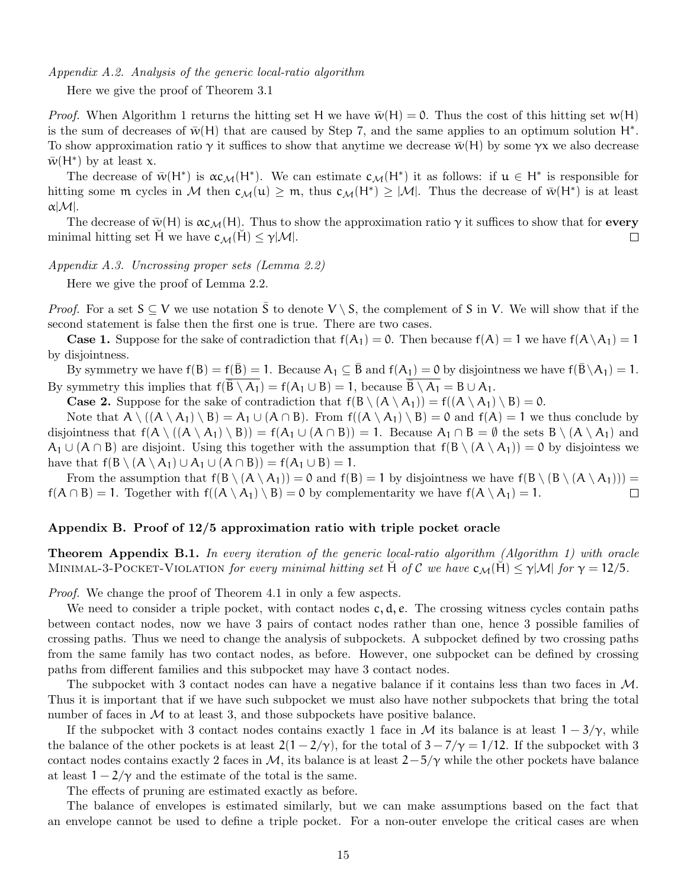Appendix A.2. Analysis of the generic local-ratio algorithm

Here we give the proof of Theorem 3.1

*Proof.* When Algorithm 1 returns the hitting set H we have  $\bar{w}(H) = 0$ . Thus the cost of this hitting set  $w(H)$ is the sum of decreases of  $\bar{w}(H)$  that are caused by Step 7, and the same applies to an optimum solution  $H^*$ . To show approximation ratio  $\gamma$  it suffices to show that anytime we decrease  $\bar{w}(H)$  by some  $\gamma x$  we also decrease  $\bar{w}(H^*)$  by at least x.

The decrease of  $\bar{w}(H^*)$  is  $\alpha c_{\mathcal{M}}(H^*)$ . We can estimate  $c_{\mathcal{M}}(H^*)$  it as follows: if  $u \in H^*$  is responsible for hitting some m cycles in M then  $c_M(u) \geq m$ , thus  $c_M(H^*) \geq |M|$ . Thus the decrease of  $\bar{w}(H^*)$  is at least  $\alpha$ | $\mathcal{M}$ |.

The decrease of  $\bar{w}(H)$  is  $\alpha c_{\mathcal{M}}(H)$ . Thus to show the approximation ratio  $\gamma$  it suffices to show that for every minimal hitting set H we have  $c_{\mathcal{M}}(H) \leq \gamma |\mathcal{M}|$ .  $\Box$ 

Appendix A.3. Uncrossing proper sets (Lemma 2.2)

Here we give the proof of Lemma 2.2.

*Proof.* For a set  $S \subseteq V$  we use notation  $\overline{S}$  to denote  $V \setminus S$ , the complement of S in V. We will show that if the second statement is false then the first one is true. There are two cases.

**Case 1.** Suppose for the sake of contradiction that  $f(A_1) = 0$ . Then because  $f(A) = 1$  we have  $f(A \setminus A_1) = 1$ by disjointness.

By symmetry we have  $f(B) = f(\bar{B}) = 1$ . Because  $A_1 \subseteq \bar{B}$  and  $f(A_1) = 0$  by disjointness we have  $f(\bar{B} \setminus A_1) = 1$ . By symmetry this implies that  $f(\overline{\overline{B} \setminus A_1}) = f(A_1 \cup B) = 1$ , because  $\overline{\overline{B} \setminus A_1} = B \cup A_1$ .

**Case 2.** Suppose for the sake of contradiction that  $f(B \setminus (A \setminus A_1)) = f((A \setminus A_1) \setminus B) = 0$ .

Note that  $A \setminus ((A \setminus A_1) \setminus B) = A_1 \cup (A \cap B)$ . From  $f((A \setminus A_1) \setminus B) = 0$  and  $f(A) = 1$  we thus conclude by disjointness that  $f(A \setminus (A \setminus A_1) \setminus B) = f(A_1 \cup (A \cap B)) = 1$ . Because  $A_1 \cap B = \emptyset$  the sets  $B \setminus (A \setminus A_1)$  and  $A_1 \cup (A \cap B)$  are disjoint. Using this together with the assumption that  $f(B \setminus (A \setminus A_1)) = 0$  by disjointess we have that  $f(B \setminus (A \setminus A_1) \cup A_1 \cup (A \cap B)) = f(A_1 \cup B) = 1$ .

From the assumption that  $f(B \setminus (A \setminus A_1)) = 0$  and  $f(B) = 1$  by disjointness we have  $f(B \setminus (B \setminus (A \setminus A_1))) =$  $f(A \cap B) = 1$ . Together with  $f((A \setminus A_1) \setminus B) = 0$  by complementarity we have  $f(A \setminus A_1) = 1$ .  $\Box$ 

## Appendix B. Proof of 12/5 approximation ratio with triple pocket oracle

Theorem Appendix B.1. In every iteration of the generic local-ratio algorithm (Algorithm 1) with oracle MINIMAL-3-POCKET-VIOLATION for every minimal hitting set H of C we have  $c_{\mathcal{M}}(H) \leq \gamma |\mathcal{M}|$  for  $\gamma = 12/5$ .

Proof. We change the proof of Theorem 4.1 in only a few aspects.

We need to consider a triple pocket, with contact nodes  $c, d, e$ . The crossing witness cycles contain paths between contact nodes, now we have 3 pairs of contact nodes rather than one, hence 3 possible families of crossing paths. Thus we need to change the analysis of subpockets. A subpocket defined by two crossing paths from the same family has two contact nodes, as before. However, one subpocket can be defined by crossing paths from different families and this subpocket may have 3 contact nodes.

The subpocket with 3 contact nodes can have a negative balance if it contains less than two faces in M. Thus it is important that if we have such subpocket we must also have nother subpockets that bring the total number of faces in  $M$  to at least 3, and those subpockets have positive balance.

If the subpocket with 3 contact nodes contains exactly 1 face in M its balance is at least  $1 - 3/\gamma$ , while the balance of the other pockets is at least  $2(1 - 2/\gamma)$ , for the total of  $3 - 7/\gamma = 1/12$ . If the subpocket with 3 contact nodes contains exactly 2 faces in M, its balance is at least  $2-5/\gamma$  while the other pockets have balance at least  $1 - 2/\gamma$  and the estimate of the total is the same.

The effects of pruning are estimated exactly as before.

The balance of envelopes is estimated similarly, but we can make assumptions based on the fact that an envelope cannot be used to define a triple pocket. For a non-outer envelope the critical cases are when